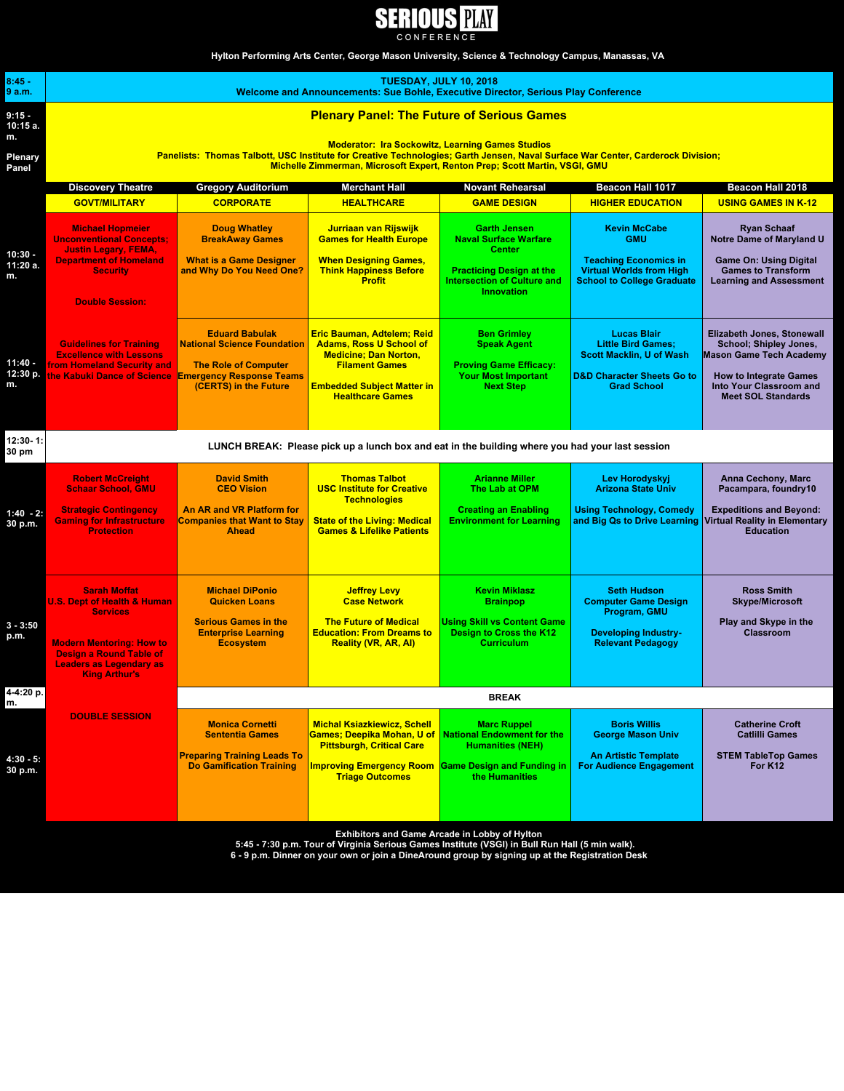

**Hylton Performing Arts Center, George Mason University, Science & Technology Campus, Manassas, VA** 

| $8:45 -$<br>9 a.m.        | <b>TUESDAY, JULY 10, 2018</b><br>Welcome and Announcements: Sue Bohle, Executive Director, Serious Play Conference                                                                                                                                                       |                                                                                                                                   |                                                                                                                                                                                              |                                                                                                                                                                    |                                                                                                                                                   |                                                                                                                                                                                                      |  |  |
|---------------------------|--------------------------------------------------------------------------------------------------------------------------------------------------------------------------------------------------------------------------------------------------------------------------|-----------------------------------------------------------------------------------------------------------------------------------|----------------------------------------------------------------------------------------------------------------------------------------------------------------------------------------------|--------------------------------------------------------------------------------------------------------------------------------------------------------------------|---------------------------------------------------------------------------------------------------------------------------------------------------|------------------------------------------------------------------------------------------------------------------------------------------------------------------------------------------------------|--|--|
| 9:15 -<br>10:15 a.<br>m.  | <b>Plenary Panel: The Future of Serious Games</b>                                                                                                                                                                                                                        |                                                                                                                                   |                                                                                                                                                                                              |                                                                                                                                                                    |                                                                                                                                                   |                                                                                                                                                                                                      |  |  |
| Plenary<br>Panel          | <b>Moderator: Ira Sockowitz, Learning Games Studios</b><br>Panelists: Thomas Talbott, USC Institute for Creative Technologies; Garth Jensen, Naval Surface War Center, Carderock Division;<br>Michelle Zimmerman, Microsoft Expert, Renton Prep; Scott Martin, VSGI, GMU |                                                                                                                                   |                                                                                                                                                                                              |                                                                                                                                                                    |                                                                                                                                                   |                                                                                                                                                                                                      |  |  |
|                           | <b>Discovery Theatre</b>                                                                                                                                                                                                                                                 | <b>Gregory Auditorium</b>                                                                                                         | <b>Merchant Hall</b>                                                                                                                                                                         | <b>Novant Rehearsal</b>                                                                                                                                            | Beacon Hall 1017                                                                                                                                  | Beacon Hall 2018                                                                                                                                                                                     |  |  |
|                           | <b>GOVT/MILITARY</b>                                                                                                                                                                                                                                                     | <b>CORPORATE</b>                                                                                                                  | <b>HEALTHCARE</b>                                                                                                                                                                            | <b>GAME DESIGN</b>                                                                                                                                                 | <b>HIGHER EDUCATION</b>                                                                                                                           | <b>USING GAMES IN K-12</b>                                                                                                                                                                           |  |  |
| 10:30 -<br>11:20 a.<br>m. | <b>Michael Hopmeier</b><br><b>Unconventional Concepts:</b><br><b>Justin Legary, FEMA,</b><br><b>Department of Homeland</b><br><b>Security</b><br><b>Double Session:</b>                                                                                                  | <b>Doug Whatley</b><br><b>BreakAway Games</b><br><b>What is a Game Designer</b><br>and Why Do You Need One?                       | Jurriaan van Rijswijk<br><b>Games for Health Europe</b><br><b>When Designing Games,</b><br><b>Think Happiness Before</b><br><b>Profit</b>                                                    | <b>Garth Jensen</b><br><b>Naval Surface Warfare</b><br><b>Center</b><br><b>Practicing Design at the</b><br><b>Intersection of Culture and</b><br><b>Innovation</b> | <b>Kevin McCabe</b><br><b>GMU</b><br><b>Teaching Economics in</b><br><b>Virtual Worlds from High</b><br><b>School to College Graduate</b>         | <b>Ryan Schaaf</b><br><b>Notre Dame of Maryland U</b><br><b>Game On: Using Digital</b><br><b>Games to Transform</b><br><b>Learning and Assessment</b>                                                |  |  |
| 11:40 -<br>12:30 p.<br>m. | <b>Guidelines for Training</b><br><b>Excellence with Lessons</b><br><b>from Homeland Security and</b><br>the Kabuki Dance of Science Emergency Response Teams                                                                                                            | <b>Eduard Babulak</b><br><b>National Science Foundation</b><br><b>The Role of Computer</b><br>(CERTS) in the Future               | Eric Bauman, Adtelem; Reid<br><b>Adams, Ross U School of</b><br><b>Medicine: Dan Norton,</b><br><b>Filament Games</b><br><b>Embedded Subject Matter in</b><br><b>Healthcare Games</b>        | <b>Ben Grimley</b><br><b>Speak Agent</b><br><b>Proving Game Efficacy:</b><br><b>Your Most Important</b><br><b>Next Step</b>                                        | <b>Lucas Blair</b><br><b>Little Bird Games:</b><br><b>Scott Macklin, U of Wash</b><br><b>D&amp;D Character Sheets Go to</b><br><b>Grad School</b> | <b>Elizabeth Jones, Stonewall</b><br><b>School: Shipley Jones,</b><br><b>Mason Game Tech Academy</b><br><b>How to Integrate Games</b><br><b>Into Your Classroom and</b><br><b>Meet SOL Standards</b> |  |  |
| 12:30-1:<br>30 pm         | LUNCH BREAK: Please pick up a lunch box and eat in the building where you had your last session                                                                                                                                                                          |                                                                                                                                   |                                                                                                                                                                                              |                                                                                                                                                                    |                                                                                                                                                   |                                                                                                                                                                                                      |  |  |
| 1:40 - 2:<br>30 p.m.      | <b>Robert McCreight</b><br><b>Schaar School, GMU</b><br><b>Strategic Contingency</b><br><b>Gaming for Infrastructure</b><br><b>Protection</b>                                                                                                                            | <b>David Smith</b><br><b>CEO Vision</b><br><b>An AR and VR Platform for</b><br><b>Companies that Want to Stay</b><br><b>Ahead</b> | <b>Thomas Talbot</b><br><b>USC Institute for Creative</b><br><b>Technologies</b><br><b>State of the Living: Medical</b><br><b>Games &amp; Lifelike Patients</b>                              | <b>Arianne Miller</b><br><b>The Lab at OPM</b><br><b>Creating an Enabling</b><br><b>Environment for Learning</b>                                                   | Lev Horodyskyj<br><b>Arizona State Univ</b><br><b>Using Technology, Comedy</b><br>and Big Qs to Drive Learning                                    | <b>Anna Cechony, Marc</b><br>Pacampara, foundry10<br><b>Expeditions and Beyond:</b><br>Virtual Reality in Elementary<br><b>Education</b>                                                             |  |  |
| $3 - 3:50$<br>p.m.        | <b>Sarah Moffat</b><br><b>U.S. Dept of Health &amp; Human</b><br><b>Services</b><br><b>Modern Mentoring: How to</b><br><b>Design a Round Table of</b><br><b>Leaders as Legendary as</b><br><b>King Arthur's</b>                                                          | <b>Michael DiPonio</b><br><b>Quicken Loans</b><br><b>Serious Games in the</b><br><b>Enterprise Learning</b><br><b>Ecosystem</b>   | <b>Jeffrey Levy</b><br><b>Case Network</b><br><b>The Future of Medical</b><br><b>Education: From Dreams to</b><br><b>Reality (VR, AR, AI)</b>                                                | <b>Kevin Miklasz</b><br><b>Brainpop</b><br><b>Using Skill vs Content Game</b><br>Design to Cross the K12<br><b>Curriculum</b>                                      | <b>Seth Hudson</b><br><b>Computer Game Design</b><br>Program, GMU<br><b>Developing Industry-</b><br><b>Relevant Pedagogy</b>                      | <b>Ross Smith</b><br><b>Skype/Microsoft</b><br>Play and Skype in the<br><b>Classroom</b>                                                                                                             |  |  |
| 4-4:20 p.<br>m.           |                                                                                                                                                                                                                                                                          | <b>BREAK</b>                                                                                                                      |                                                                                                                                                                                              |                                                                                                                                                                    |                                                                                                                                                   |                                                                                                                                                                                                      |  |  |
| 4:30 - 5:<br>30 p.m.      | <b>DOUBLE SESSION</b>                                                                                                                                                                                                                                                    | <b>Monica Cornetti</b><br><b>Sententia Games</b><br><b>Preparing Training Leads To</b><br><b>Do Gamification Training</b>         | <b>Michal Ksiazkiewicz, Schell</b><br>Games; Deepika Mohan, U of<br><b>Pittsburgh, Critical Care</b><br><b>Improving Emergency Room Game Design and Funding in</b><br><b>Triage Outcomes</b> | <b>Marc Ruppel</b><br><b>National Endowment for the</b><br><b>Humanities (NEH)</b><br>the Humanities                                                               | <b>Boris Willis</b><br><b>George Mason Univ</b><br><b>An Artistic Template</b><br><b>For Audience Engagement</b>                                  | <b>Catherine Croft</b><br><b>Catlilli Games</b><br><b>STEM TableTop Games</b><br>For K12                                                                                                             |  |  |

Exhibitors and Game Arcade in Lobby of Hylton<br>1991 - 5:45 - 7:30 p.m. Tour of Virginia Serious Games Institute (VSGI) in Bull Run Hall (5 min walk).<br>1991 - 6 - 9 p.m. Dinner on your own or join a DineAround group by signin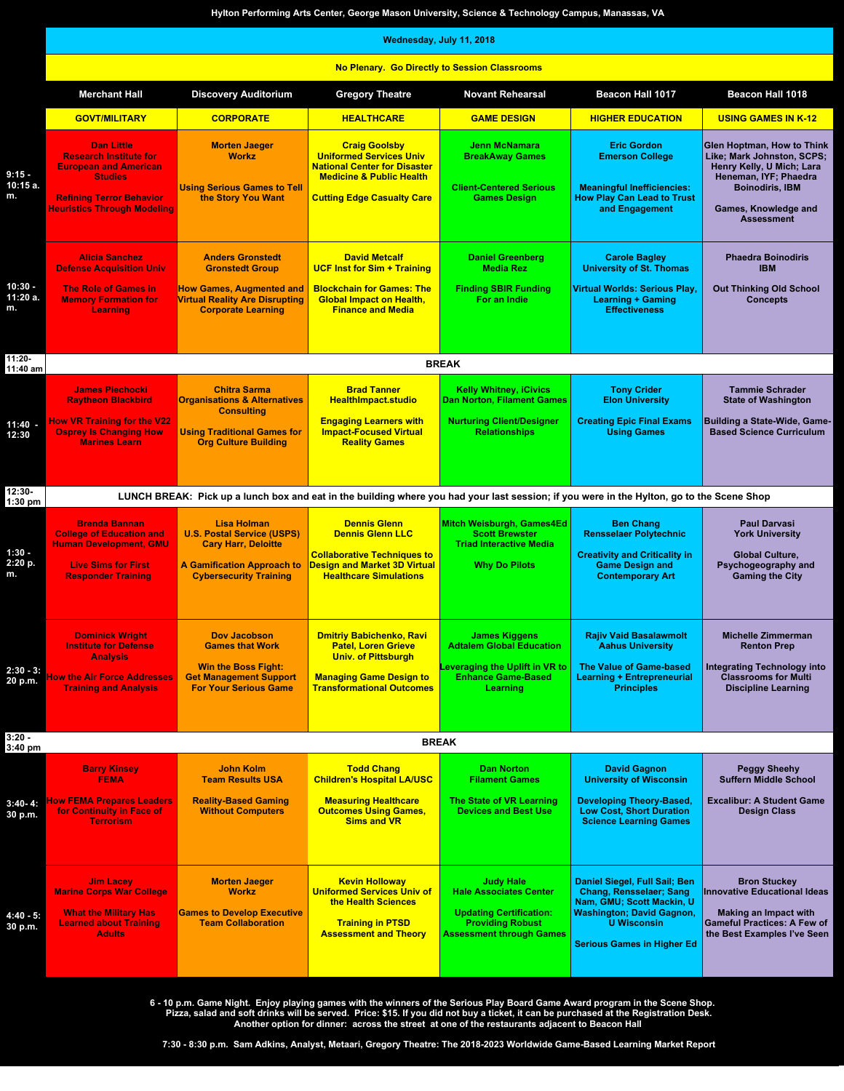|                             | Hylton Performing Arts Center, George Mason University, Science & Technology Campus, Manassas, VA<br>Wednesday, July 11, 2018                                                 |                                                                                                                                                             |                                                                                                                                                                           |                                                                                                                                                   |                                                                                                                                                                                             |                                                                                                                                                                                              |  |  |
|-----------------------------|-------------------------------------------------------------------------------------------------------------------------------------------------------------------------------|-------------------------------------------------------------------------------------------------------------------------------------------------------------|---------------------------------------------------------------------------------------------------------------------------------------------------------------------------|---------------------------------------------------------------------------------------------------------------------------------------------------|---------------------------------------------------------------------------------------------------------------------------------------------------------------------------------------------|----------------------------------------------------------------------------------------------------------------------------------------------------------------------------------------------|--|--|
|                             | No Plenary. Go Directly to Session Classrooms                                                                                                                                 |                                                                                                                                                             |                                                                                                                                                                           |                                                                                                                                                   |                                                                                                                                                                                             |                                                                                                                                                                                              |  |  |
|                             | <b>Merchant Hall</b>                                                                                                                                                          | <b>Discovery Auditorium</b>                                                                                                                                 | <b>Gregory Theatre</b>                                                                                                                                                    | <b>Novant Rehearsal</b>                                                                                                                           | Beacon Hall 1017                                                                                                                                                                            | <b>Beacon Hall 1018</b>                                                                                                                                                                      |  |  |
|                             | <b>GOVT/MILITARY</b>                                                                                                                                                          | <b>CORPORATE</b>                                                                                                                                            | <b>HEALTHCARE</b>                                                                                                                                                         | <b>GAME DESIGN</b>                                                                                                                                | <b>HIGHER EDUCATION</b>                                                                                                                                                                     | <b>USING GAMES IN K-12</b>                                                                                                                                                                   |  |  |
| $9:15-$<br>10:15 a.<br>m.   | <b>Dan Little</b><br><b>Research Institute for</b><br><b>European and American</b><br><b>Studies</b><br><b>Refining Terror Behavior</b><br><b>Heuristics Through Modeling</b> | <b>Morten Jaeger</b><br><b>Workz</b><br><b>Using Serious Games to Tell</b><br>the Story You Want                                                            | <b>Craig Goolsby</b><br><b>Uniformed Services Univ</b><br><b>National Center for Disaster</b><br><b>Medicine &amp; Public Health</b><br><b>Cutting Edge Casualty Care</b> | <b>Jenn McNamara</b><br><b>BreakAway Games</b><br><b>Client-Centered Serious</b><br><b>Games Design</b>                                           | <b>Eric Gordon</b><br><b>Emerson College</b><br><b>Meaningful Inefficiencies:</b><br><b>How Play Can Lead to Trust</b><br>and Engagement                                                    | <b>Glen Hoptman, How to Think</b><br>Like; Mark Johnston, SCPS;<br>Henry Kelly, U Mich; Lara<br>Heneman, IYF; Phaedra<br><b>Boinodiris, IBM</b><br>Games, Knowledge and<br><b>Assessment</b> |  |  |
|                             | <b>Alicia Sanchez</b><br><b>Defense Acquisition Univ</b>                                                                                                                      | <b>Anders Gronstedt</b><br><b>Gronstedt Group</b>                                                                                                           | <b>David Metcalf</b><br><b>UCF Inst for Sim + Training</b>                                                                                                                | <b>Daniel Greenberg</b><br><b>Media Rez</b>                                                                                                       | <b>Carole Bagley</b><br><b>University of St. Thomas</b>                                                                                                                                     | <b>Phaedra Boinodiris</b><br><b>IBM</b>                                                                                                                                                      |  |  |
| $10:30 -$<br>11:20 a.<br>m. | <b>The Role of Games in</b><br><b>Memory Formation for</b><br>Learning                                                                                                        | <b>How Games, Augmented and</b><br><b>Virtual Reality Are Disrupting</b><br><b>Corporate Learning</b>                                                       | <b>Blockchain for Games: The</b><br><b>Global Impact on Health.</b><br><b>Finance and Media</b>                                                                           | <b>Finding SBIR Funding</b><br>For an Indie                                                                                                       | <b>Virtual Worlds: Serious Play.</b><br><b>Learning + Gaming</b><br><b>Effectiveness</b>                                                                                                    | <b>Out Thinking Old School</b><br><b>Concepts</b>                                                                                                                                            |  |  |
| 11:20-                      |                                                                                                                                                                               |                                                                                                                                                             |                                                                                                                                                                           | <b>BREAK</b>                                                                                                                                      |                                                                                                                                                                                             |                                                                                                                                                                                              |  |  |
| 11:40 am                    | <b>James Piechocki</b><br><b>Raytheon Blackbird</b>                                                                                                                           | <b>Chitra Sarma</b><br><b>Organisations &amp; Alternatives</b>                                                                                              | <b>Brad Tanner</b><br><b>HealthImpact.studio</b>                                                                                                                          | <b>Kelly Whitney, iCivics</b><br><b>Dan Norton, Filament Games</b>                                                                                | <b>Tony Crider</b><br><b>Elon University</b>                                                                                                                                                | <b>Tammie Schrader</b><br><b>State of Washington</b>                                                                                                                                         |  |  |
| 11:40<br>12:30              | <b>How VR Training for the V22</b><br><b>Osprey Is Changing How</b><br><b>Marines Learn</b>                                                                                   | <b>Consulting</b><br><b>Using Traditional Games for</b><br><b>Org Culture Building</b>                                                                      | <b>Engaging Learners with</b><br><b>Impact-Focused Virtual</b><br><b>Reality Games</b>                                                                                    | <b>Nurturing Client/Designer</b><br><b>Relationships</b>                                                                                          | <b>Creating Epic Final Exams</b><br><b>Using Games</b>                                                                                                                                      | <b>Building a State-Wide, Game-</b><br><b>Based Science Curriculum</b>                                                                                                                       |  |  |
| 12:30-<br>1:30 pm           |                                                                                                                                                                               | LUNCH BREAK: Pick up a lunch box and eat in the building where you had your last session; if you were in the Hylton, go to the Scene Shop                   |                                                                                                                                                                           |                                                                                                                                                   |                                                                                                                                                                                             |                                                                                                                                                                                              |  |  |
| $1:30 -$<br>2:20 p.<br>m.   | <b>Brenda Bannan</b><br><b>College of Education and</b><br><b>Human Development, GMU</b><br><b>Live Sims for First</b><br><b>Responder Training</b>                           | <b>Lisa Holman</b><br><b>U.S. Postal Service (USPS)</b><br><b>Cary Harr, Deloitte</b><br><b>A Gamification Approach to</b><br><b>Cybersecurity Training</b> | <b>Dennis Glenn</b><br><b>Dennis Glenn LLC</b><br><b>Collaborative Techniques to</b><br><b>Design and Market 3D Virtual</b><br><b>Healthcare Simulations</b>              | Mitch Weisburgh, Games4Ed<br><b>Scott Brewster</b><br><b>Triad Interactive Media</b><br><b>Why Do Pilots</b>                                      | <b>Ben Chang</b><br><b>Rensselaer Polytechnic</b><br><b>Creativity and Criticality in</b><br><b>Game Design and</b><br><b>Contemporary Art</b>                                              | <b>Paul Darvasi</b><br><b>York University</b><br><b>Global Culture,</b><br>Psychogeography and<br><b>Gaming the City</b>                                                                     |  |  |
| $2:30 - 3:$<br>20 p.m.      | <b>Dominick Wright</b><br><b>Institute for Defense</b><br><b>Analysis</b><br><b>Tow the Air Force Addresses</b><br><b>Training and Analysis</b>                               | <b>Dov Jacobson</b><br><b>Games that Work</b><br><b>Win the Boss Fight:</b><br><b>Get Management Support</b><br><b>For Your Serious Game</b>                | <b>Dmitriy Babichenko, Ravi</b><br><b>Patel, Loren Grieve</b><br><b>Univ. of Pittsburgh</b><br><b>Managing Game Design to</b><br><b>Transformational Outcomes</b>         | <b>James Kiggens</b><br><b>Adtalem Global Education</b><br>Leveraging the Uplift in VR to<br><b>Enhance Game-Based</b><br><b>Learning</b>         | <b>Rajiv Vaid Basalawmolt</b><br><b>Aahus University</b><br>The Value of Game-based<br><b>Learning + Entrepreneurial</b><br><b>Principles</b>                                               | <b>Michelle Zimmerman</b><br><b>Renton Prep</b><br><b>Integrating Technology into</b><br><b>Classrooms for Multi</b><br><b>Discipline Learning</b>                                           |  |  |
| 3:20 -                      |                                                                                                                                                                               |                                                                                                                                                             |                                                                                                                                                                           | <b>BREAK</b>                                                                                                                                      |                                                                                                                                                                                             |                                                                                                                                                                                              |  |  |
| 3:40 pm                     | <b>Barry Kinsey</b>                                                                                                                                                           | John Kolm                                                                                                                                                   | <b>Todd Chang</b>                                                                                                                                                         | <b>Dan Norton</b>                                                                                                                                 | <b>David Gagnon</b>                                                                                                                                                                         | <b>Peggy Sheehy</b>                                                                                                                                                                          |  |  |
|                             | <b>FEMA</b>                                                                                                                                                                   | <b>Team Results USA</b>                                                                                                                                     | <b>Children's Hospital LA/USC</b>                                                                                                                                         | <b>Filament Games</b>                                                                                                                             | <b>University of Wisconsin</b>                                                                                                                                                              | <b>Suffern Middle School</b>                                                                                                                                                                 |  |  |
| $3:40-4:$<br>30 p.m.        | <b>How FEMA Prepares Leaders</b><br>for Continuity in Face of<br><b>Terrorism</b>                                                                                             | <b>Reality-Based Gaming</b><br><b>Without Computers</b>                                                                                                     | <b>Measuring Healthcare</b><br><b>Outcomes Using Games,</b><br><b>Sims and VR</b>                                                                                         | <b>The State of VR Learning</b><br><b>Devices and Best Use</b>                                                                                    | <b>Developing Theory-Based,</b><br><b>Low Cost, Short Duration</b><br><b>Science Learning Games</b>                                                                                         | <b>Excalibur: A Student Game</b><br><b>Design Class</b>                                                                                                                                      |  |  |
| $4:40 - 5:$<br>30 p.m.      | <b>Jim Lacey</b><br><b>Marine Corps War College</b><br><b>What the Military Has</b><br><b>Learned about Training</b><br><b>Adults</b>                                         | <b>Morten Jaeger</b><br><b>Workz</b><br><b>Games to Develop Executive</b><br><b>Team Collaboration</b>                                                      | <b>Kevin Holloway</b><br><b>Uniformed Services Univ of</b><br>the Health Sciences<br><b>Training in PTSD</b><br><b>Assessment and Theory</b>                              | <b>Judy Hale</b><br><b>Hale Associates Center</b><br><b>Updating Certification:</b><br><b>Providing Robust</b><br><b>Assessment through Games</b> | Daniel Siegel, Full Sail; Ben<br><b>Chang, Rensselaer; Sang</b><br>Nam, GMU; Scott Mackin, U<br><b>Washington; David Gagnon,</b><br><b>U</b> Wisconsin<br><b>Serious Games in Higher Ed</b> | <b>Bron Stuckey</b><br><b>Innovative Educational Ideas</b><br><b>Making an Impact with</b><br><b>Gameful Practices: A Few of</b><br>the Best Examples I've Seen                              |  |  |

6 - 10 p.m. Game Night. Enjoy playing games with the winners of the Serious Play Board Game Award program in the Scene Shop.<br>Pizza, salad and soft drinks will be served. Price: \$15. If you did not buy a ticket, it can be

**7:30 - 8:30 p.m. Sam Adkins, Analyst, Metaari, Gregory Theatre: The 2018-2023 Worldwide Game-Based Learning Market Report**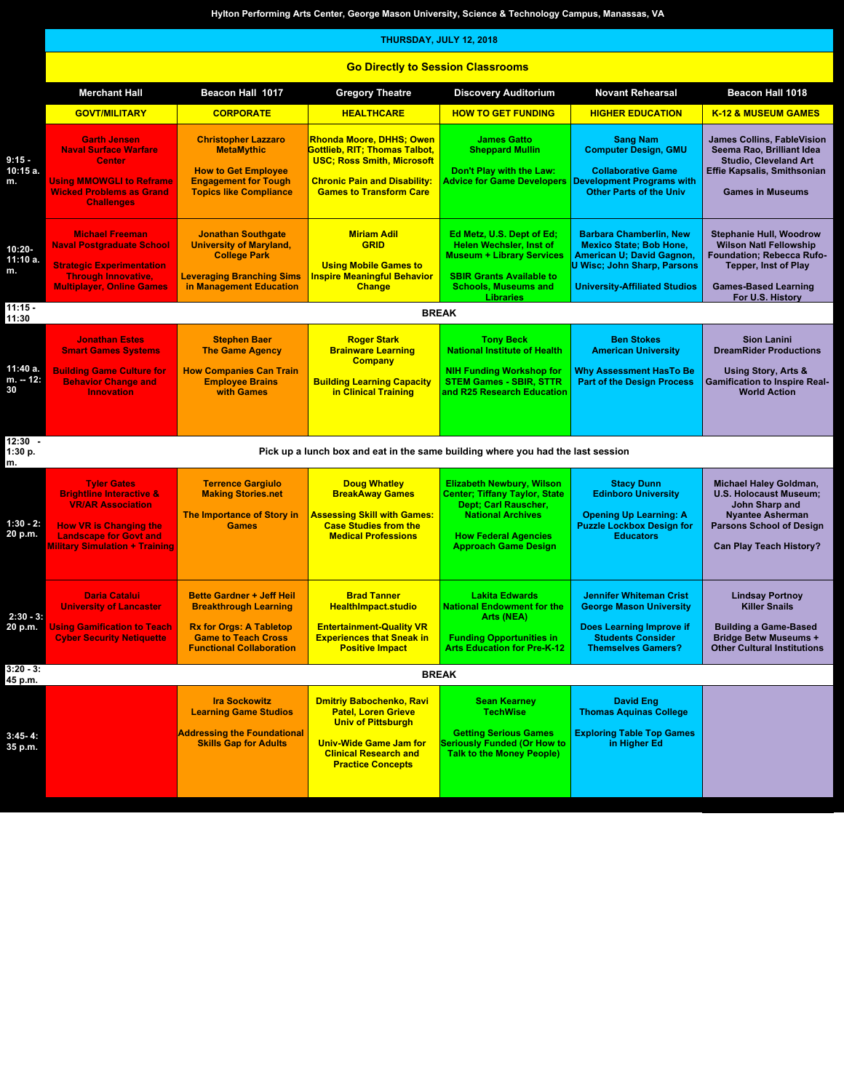|                             | Hylton Performing Arts Center, George Mason University, Science & Technology Campus, Manassas, VA                                                                                                |                                                                                                                                                                     |                                                                                                                                                                                         |                                                                                                                                                                                            |                                                                                                                                                                             |                                                                                                                                                                           |  |  |  |
|-----------------------------|--------------------------------------------------------------------------------------------------------------------------------------------------------------------------------------------------|---------------------------------------------------------------------------------------------------------------------------------------------------------------------|-----------------------------------------------------------------------------------------------------------------------------------------------------------------------------------------|--------------------------------------------------------------------------------------------------------------------------------------------------------------------------------------------|-----------------------------------------------------------------------------------------------------------------------------------------------------------------------------|---------------------------------------------------------------------------------------------------------------------------------------------------------------------------|--|--|--|
|                             | THURSDAY, JULY 12, 2018                                                                                                                                                                          |                                                                                                                                                                     |                                                                                                                                                                                         |                                                                                                                                                                                            |                                                                                                                                                                             |                                                                                                                                                                           |  |  |  |
|                             |                                                                                                                                                                                                  | <b>Go Directly to Session Classrooms</b>                                                                                                                            |                                                                                                                                                                                         |                                                                                                                                                                                            |                                                                                                                                                                             |                                                                                                                                                                           |  |  |  |
|                             | <b>Merchant Hall</b>                                                                                                                                                                             | Beacon Hall 1017                                                                                                                                                    | <b>Gregory Theatre</b>                                                                                                                                                                  | <b>Discovery Auditorium</b>                                                                                                                                                                | <b>Novant Rehearsal</b>                                                                                                                                                     | Beacon Hall 1018                                                                                                                                                          |  |  |  |
|                             | <b>GOVT/MILITARY</b>                                                                                                                                                                             | <b>CORPORATE</b>                                                                                                                                                    | <b>HEALTHCARE</b>                                                                                                                                                                       | <b>HOW TO GET FUNDING</b>                                                                                                                                                                  | <b>HIGHER EDUCATION</b>                                                                                                                                                     | <b>K-12 &amp; MUSEUM GAMES</b>                                                                                                                                            |  |  |  |
| $9:15 -$<br>10:15 a.<br>m.  | <b>Garth Jensen</b><br><b>Naval Surface Warfare</b><br><b>Center</b><br><b>Using MMOWGLI to Reframe</b><br><b>Wicked Problems as Grand</b><br><b>Challenges</b>                                  | <b>Christopher Lazzaro</b><br><b>MetaMythic</b><br><b>How to Get Employee</b><br><b>Engagement for Tough</b><br><b>Topics like Compliance</b>                       | <b>Rhonda Moore, DHHS; Owen</b><br>Gottlieb, RIT: Thomas Talbot.<br><b>USC; Ross Smith, Microsoft</b><br><b>Chronic Pain and Disability:</b><br><b>Games to Transform Care</b>          | <b>James Gatto</b><br><b>Sheppard Mullin</b><br>Don't Play with the Law:<br><b>Advice for Game Developers</b>                                                                              | <b>Sang Nam</b><br><b>Computer Design, GMU</b><br><b>Collaborative Game</b><br><b>Development Programs with</b><br><b>Other Parts of the Univ</b>                           | <b>James Collins, FableVision</b><br>Seema Rao, Brilliant Idea<br><b>Studio, Cleveland Art</b><br><b>Effie Kapsalis, Smithsonian</b><br><b>Games in Museums</b>           |  |  |  |
| 10:20-<br>11:10 a.<br>m.    | <b>Michael Freeman</b><br><b>Naval Postgraduate School</b><br><b>Strategic Experimentation</b><br><b>Through Innovative,</b><br><b>Multiplayer, Online Games</b>                                 | <b>Jonathan Southgate</b><br><b>University of Maryland,</b><br><b>College Park</b><br><b>Leveraging Branching Sims</b><br>in Management Education                   | <b>Miriam Adil</b><br><b>GRID</b><br><b>Using Mobile Games to</b><br><b>Inspire Meaningful Behavior</b><br><b>Change</b>                                                                | Ed Metz, U.S. Dept of Ed;<br><b>Helen Wechsler, Inst of</b><br><b>Museum + Library Services</b><br><b>SBIR Grants Available to</b><br><b>Schools, Museums and</b>                          | <b>Barbara Chamberlin, New</b><br><b>Mexico State; Bob Hone,</b><br>American U; David Gagnon,<br><b>U Wisc; John Sharp, Parsons</b><br><b>University-Affiliated Studios</b> | <b>Stephanie Hull, Woodrow</b><br><b>Wilson Natl Fellowship</b><br>Foundation; Rebecca Rufo-<br><b>Tepper, Inst of Play</b><br><b>Games-Based Learning</b>                |  |  |  |
| $11:15 -$                   |                                                                                                                                                                                                  |                                                                                                                                                                     |                                                                                                                                                                                         | <b>Libraries</b><br><b>BREAK</b>                                                                                                                                                           |                                                                                                                                                                             | For U.S. History                                                                                                                                                          |  |  |  |
| 11:30                       | <b>Jonathan Estes</b>                                                                                                                                                                            | <b>Stephen Baer</b>                                                                                                                                                 | <b>Roger Stark</b>                                                                                                                                                                      | <b>Tony Beck</b>                                                                                                                                                                           | <b>Ben Stokes</b>                                                                                                                                                           | <b>Sion Lanini</b>                                                                                                                                                        |  |  |  |
|                             | <b>Smart Games Systems</b>                                                                                                                                                                       | <b>The Game Agency</b>                                                                                                                                              | <b>Brainware Learning</b><br><b>Company</b>                                                                                                                                             | <b>National Institute of Health</b>                                                                                                                                                        | <b>American University</b>                                                                                                                                                  | <b>DreamRider Productions</b>                                                                                                                                             |  |  |  |
| 11:40 a.<br>m. -- 12:<br>30 | <b>Building Game Culture for</b><br><b>Behavior Change and</b><br><b>Innovation</b>                                                                                                              | <b>How Companies Can Train</b><br><b>Employee Brains</b><br>with Games                                                                                              | <b>Building Learning Capacity</b><br>in Clinical Training                                                                                                                               | <b>NIH Funding Workshop for</b><br><b>STEM Games - SBIR, STTR</b><br>and R25 Research Education                                                                                            | <b>Why Assessment HasTo Be</b><br><b>Part of the Design Process</b>                                                                                                         | Using Story, Arts &<br><b>Gamification to Inspire Real-</b><br><b>World Action</b>                                                                                        |  |  |  |
| $12:30 -$<br>1:30 p.<br>m.  |                                                                                                                                                                                                  |                                                                                                                                                                     | Pick up a lunch box and eat in the same building where you had the last session                                                                                                         |                                                                                                                                                                                            |                                                                                                                                                                             |                                                                                                                                                                           |  |  |  |
| $1:30 - 2:$<br>20 p.m.      | <b>Tyler Gates</b><br><b>Brightline Interactive &amp;</b><br><b>VR/AR Association</b><br><b>How VR is Changing the</b><br><b>Landscape for Govt and</b><br><b>Military Simulation + Training</b> | <b>Terrence Gargiulo</b><br><b>Making Stories.net</b><br>The Importance of Story in<br><b>Games</b>                                                                 | <b>Doug Whatley</b><br><b>BreakAway Games</b><br><b>Assessing Skill with Games:</b><br><b>Case Studies from the</b><br><b>Medical Professions</b>                                       | <b>Elizabeth Newbury, Wilson</b><br><b>Center; Tiffany Taylor, State</b><br>Dept; Carl Rauscher,<br><b>National Archives</b><br><b>How Federal Agencies</b><br><b>Approach Game Design</b> | <b>Stacy Dunn</b><br><b>Edinboro University</b><br><b>Opening Up Learning: A</b><br><b>Puzzle Lockbox Design for</b><br><b>Educators</b>                                    | Michael Haley Goldman,<br><b>U.S. Holocaust Museum;</b><br>John Sharp and<br><b>Nyantee Asherman</b><br><b>Parsons School of Design</b><br><b>Can Play Teach History?</b> |  |  |  |
| $2:30 - 3:$<br>20 p.m.      | <b>Daria Catalui</b><br><b>University of Lancaster</b><br><b>Using Gamification to Teach</b><br><b>Cyber Security Netiquette</b>                                                                 | <b>Bette Gardner + Jeff Heil</b><br><b>Breakthrough Learning</b><br><b>Rx for Orgs: A Tabletop</b><br><b>Game to Teach Cross</b><br><b>Functional Collaboration</b> | <b>Brad Tanner</b><br><b>HealthImpact.studio</b><br><b>Entertainment-Quality VR</b><br><b>Experiences that Sneak in</b><br><b>Positive Impact</b>                                       | <b>Lakita Edwards</b><br><b>National Endowment for the</b><br>Arts (NEA)<br><b>Funding Opportunities in</b><br><b>Arts Education for Pre-K-12</b>                                          | <b>Jennifer Whiteman Crist</b><br><b>George Mason University</b><br>Does Learning Improve if<br><b>Students Consider</b><br><b>Themselves Gamers?</b>                       | <b>Lindsay Portnoy</b><br><b>Killer Snails</b><br><b>Building a Game-Based</b><br><b>Bridge Betw Museums +</b><br><b>Other Cultural Institutions</b>                      |  |  |  |
| $3:20 - 3:$<br>45 p.m.      |                                                                                                                                                                                                  |                                                                                                                                                                     |                                                                                                                                                                                         | <b>BREAK</b>                                                                                                                                                                               |                                                                                                                                                                             |                                                                                                                                                                           |  |  |  |
| $3:45 - 4:$<br>35 p.m.      |                                                                                                                                                                                                  | <b>Ira Sockowitz</b><br><b>Learning Game Studios</b><br><b>Addressing the Foundational</b><br><b>Skills Gap for Adults</b>                                          | <b>Dmitriy Babochenko, Ravi</b><br><b>Patel, Loren Grieve</b><br><b>Univ of Pittsburgh</b><br><b>Univ-Wide Game Jam for</b><br><b>Clinical Research and</b><br><b>Practice Concepts</b> | <b>Sean Kearney</b><br><b>TechWise</b><br><b>Getting Serious Games</b><br><b>Seriously Funded (Or How to</b><br><b>Talk to the Money People)</b>                                           | David Eng<br><b>Thomas Aquinas College</b><br><b>Exploring Table Top Games</b><br>in Higher Ed                                                                              |                                                                                                                                                                           |  |  |  |